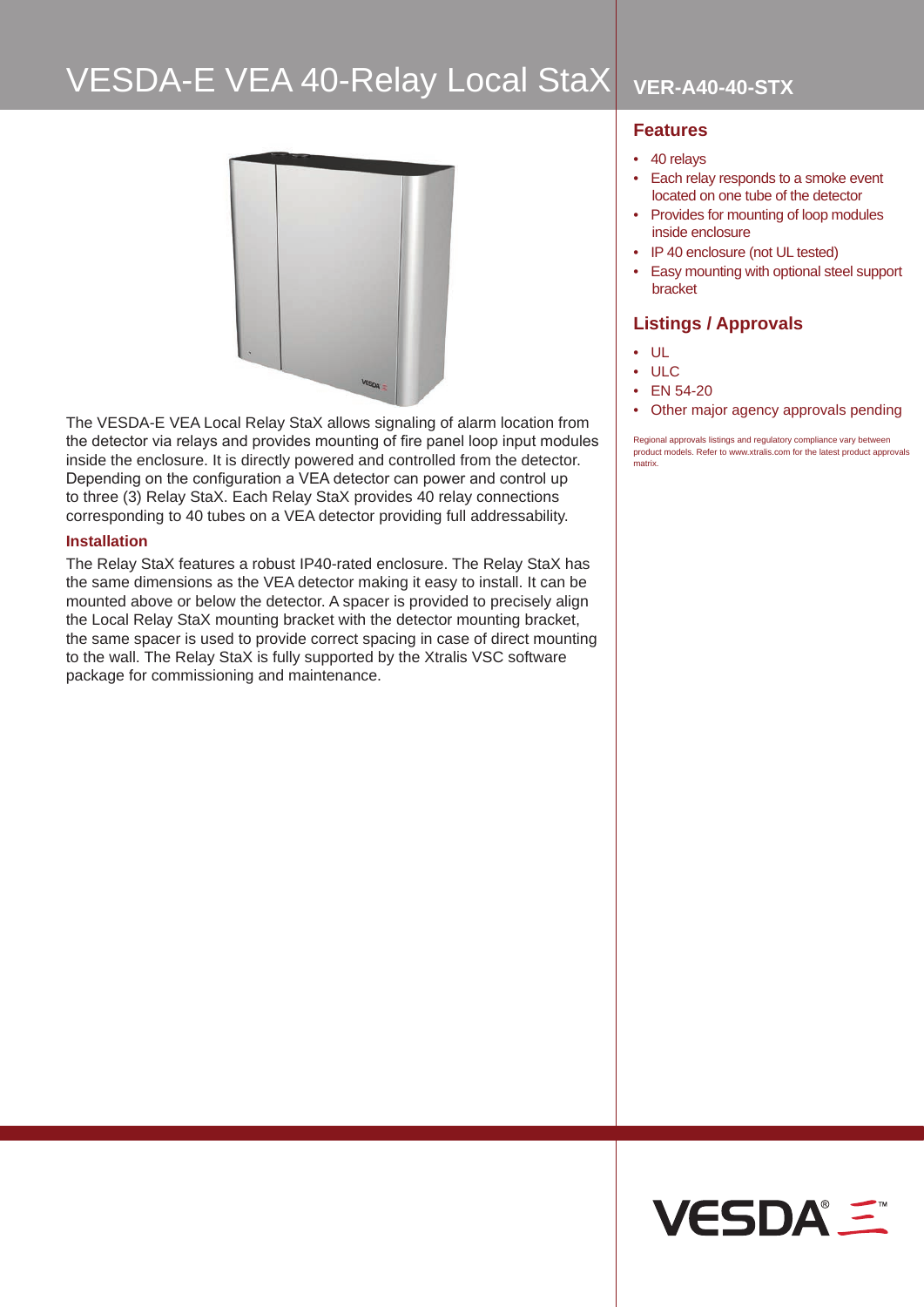# **VESDA-E VEA 40-Relay Local StaX VER-A40-40-STX**



The VESDA-E VEA Local Relay StaX allows signaling of alarm location from the detector via relays and provides mounting of fire panel loop input modules inside the enclosure. It is directly powered and controlled from the detector. Depending on the configuration a VEA detector can power and control up to three (3) Relay StaX. Each Relay StaX provides 40 relay connections corresponding to 40 tubes on a VEA detector providing full addressability.

### **Installation**

The Relay StaX features a robust IP40-rated enclosure. The Relay StaX has the same dimensions as the VEA detector making it easy to install. It can be mounted above or below the detector. A spacer is provided to precisely align the Local Relay StaX mounting bracket with the detector mounting bracket, the same spacer is used to provide correct spacing in case of direct mounting to the wall. The Relay StaX is fully supported by the Xtralis VSC software package for commissioning and maintenance.

### **Features**

- 40 relays
- Each relay responds to a smoke event located on one tube of the detector
- Provides for mounting of loop modules inside enclosure
- IP 40 enclosure (not UL tested)
- Easy mounting with optional steel support bracket

## **Listings / Approvals**

- UL
- ULC
- EN 54-20
- Other major agency approvals pending

Regional approvals listings and regulatory compliance vary between product models. Refer to www.xtralis.com for the latest product approvals matrix.